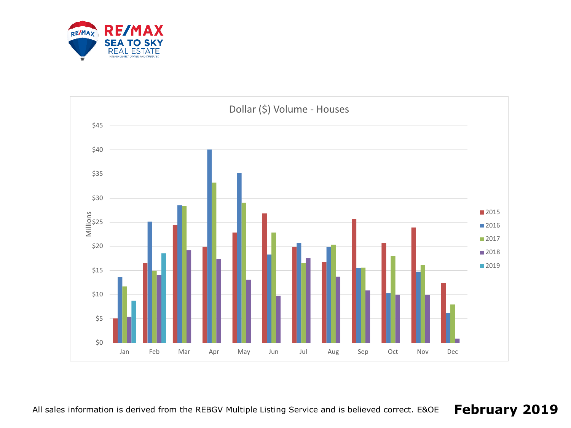

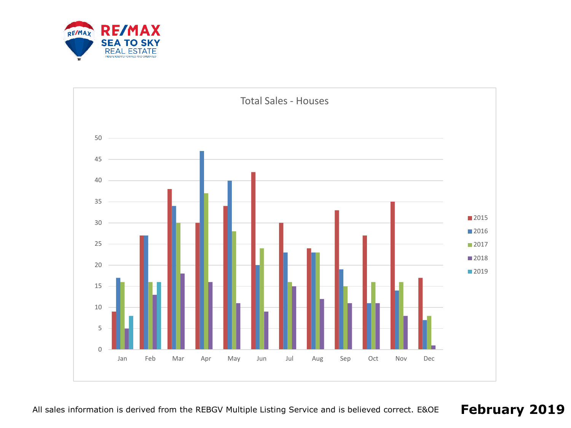

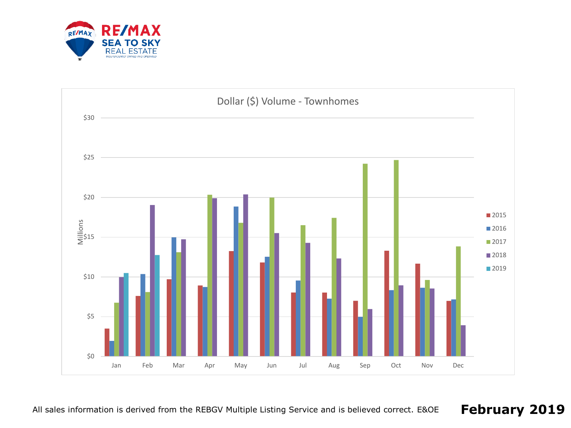

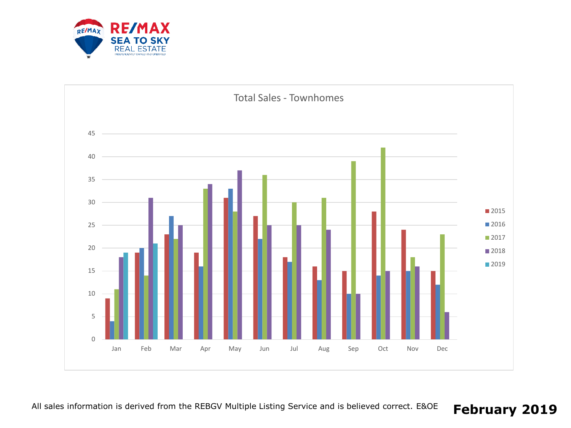

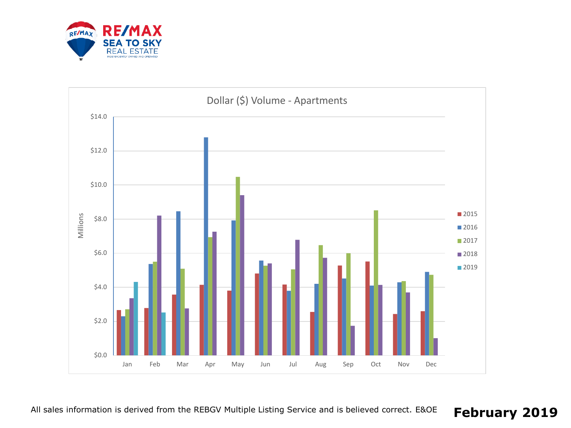

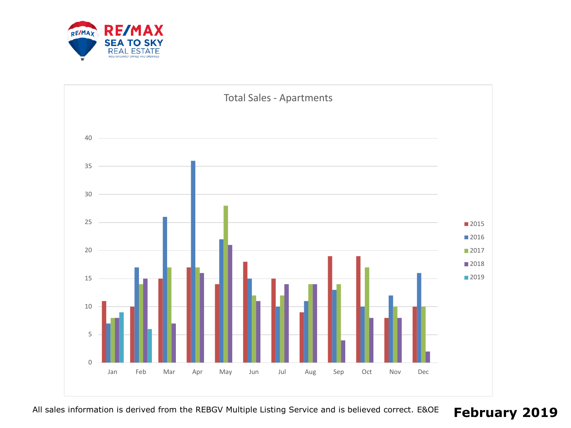

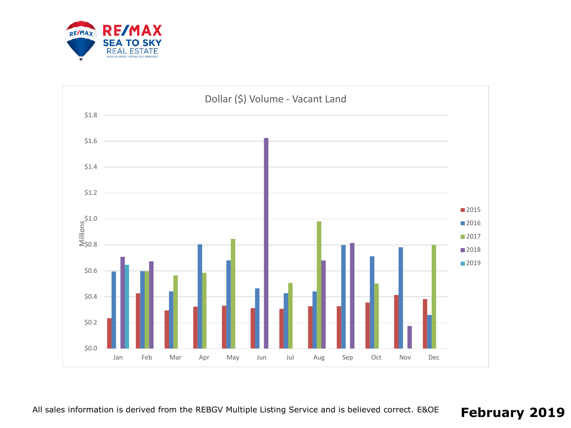

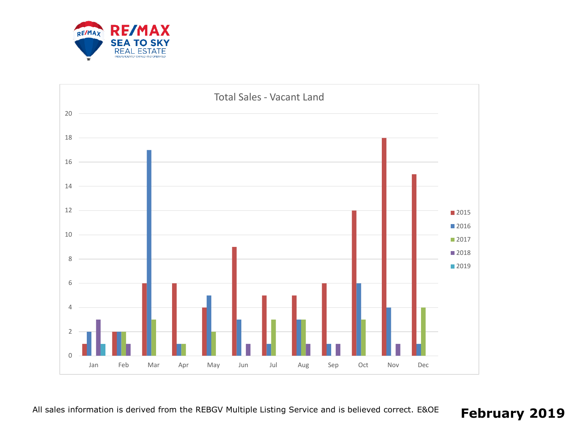

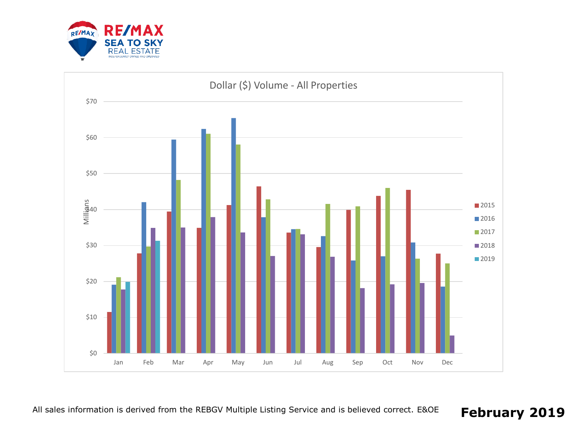

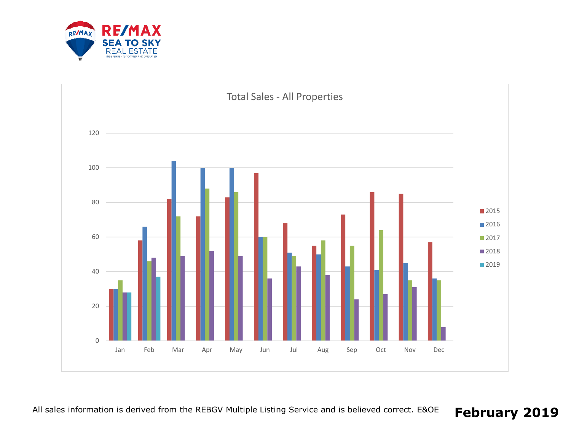

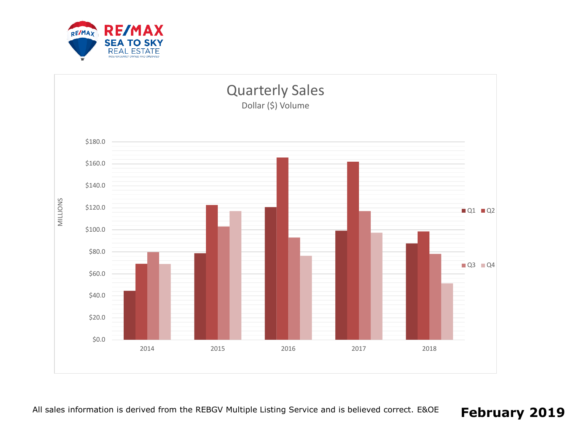